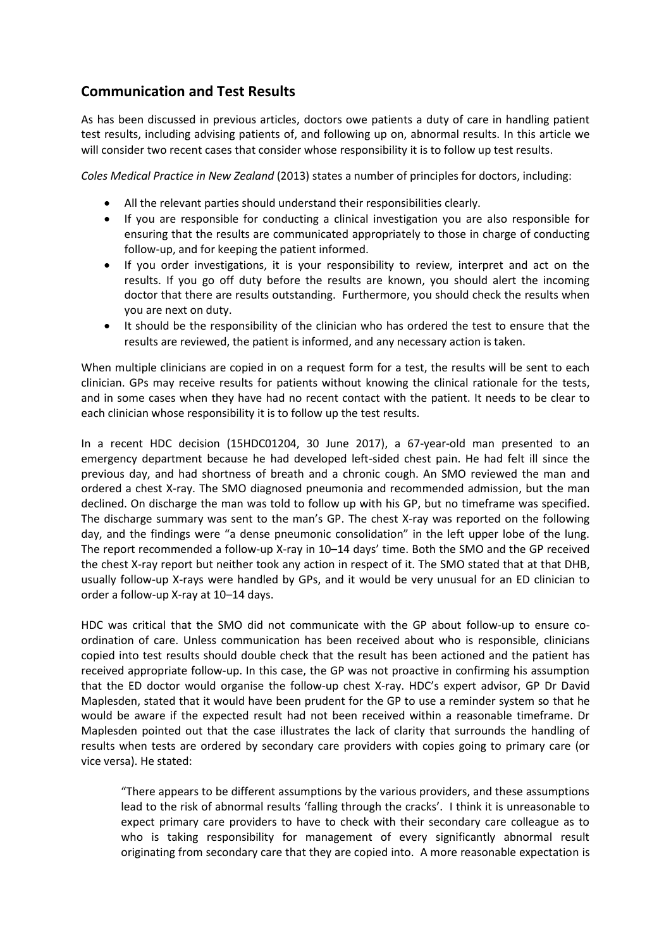## **Communication and Test Results**

As has been discussed in previous articles, doctors owe patients a duty of care in handling patient test results, including advising patients of, and following up on, abnormal results. In this article we will consider two recent cases that consider whose responsibility it is to follow up test results.

*Coles Medical Practice in New Zealand* (2013) states a number of principles for doctors, including:

- All the relevant parties should understand their responsibilities clearly.
- If you are responsible for conducting a clinical investigation you are also responsible for ensuring that the results are communicated appropriately to those in charge of conducting follow-up, and for keeping the patient informed.
- If you order investigations, it is your responsibility to review, interpret and act on the results. If you go off duty before the results are known, you should alert the incoming doctor that there are results outstanding. Furthermore, you should check the results when you are next on duty.
- It should be the responsibility of the clinician who has ordered the test to ensure that the results are reviewed, the patient is informed, and any necessary action is taken.

When multiple clinicians are copied in on a request form for a test, the results will be sent to each clinician. GPs may receive results for patients without knowing the clinical rationale for the tests, and in some cases when they have had no recent contact with the patient. It needs to be clear to each clinician whose responsibility it is to follow up the test results.

In a recent HDC decision (15HDC01204, 30 June 2017), a 67-year-old man presented to an emergency department because he had developed left-sided chest pain. He had felt ill since the previous day, and had shortness of breath and a chronic cough. An SMO reviewed the man and ordered a chest X-ray. The SMO diagnosed pneumonia and recommended admission, but the man declined. On discharge the man was told to follow up with his GP, but no timeframe was specified. The discharge summary was sent to the man's GP. The chest X-ray was reported on the following day, and the findings were "a dense pneumonic consolidation" in the left upper lobe of the lung. The report recommended a follow-up X-ray in 10–14 days' time. Both the SMO and the GP received the chest X-ray report but neither took any action in respect of it. The SMO stated that at that DHB, usually follow-up X-rays were handled by GPs, and it would be very unusual for an ED clinician to order a follow-up X-ray at 10–14 days.

HDC was critical that the SMO did not communicate with the GP about follow-up to ensure coordination of care. Unless communication has been received about who is responsible, clinicians copied into test results should double check that the result has been actioned and the patient has received appropriate follow-up. In this case, the GP was not proactive in confirming his assumption that the ED doctor would organise the follow-up chest X-ray. HDC's expert advisor, GP Dr David Maplesden, stated that it would have been prudent for the GP to use a reminder system so that he would be aware if the expected result had not been received within a reasonable timeframe. Dr Maplesden pointed out that the case illustrates the lack of clarity that surrounds the handling of results when tests are ordered by secondary care providers with copies going to primary care (or vice versa). He stated:

"There appears to be different assumptions by the various providers, and these assumptions lead to the risk of abnormal results 'falling through the cracks'. I think it is unreasonable to expect primary care providers to have to check with their secondary care colleague as to who is taking responsibility for management of every significantly abnormal result originating from secondary care that they are copied into. A more reasonable expectation is